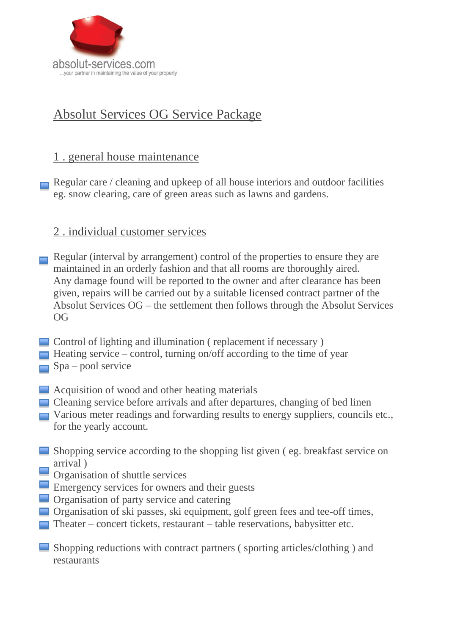

## Absolut Services OG Service Package

## 1 . general house maintenance

Regular care / cleaning and upkeep of all house interiors and outdoor facilities eg. snow clearing, care of green areas such as lawns and gardens.

## 2 . individual customer services

- Regular (interval by arrangement) control of the properties to ensure they are maintained in an orderly fashion and that all rooms are thoroughly aired. Any damage found will be reported to the owner and after clearance has been given, repairs will be carried out by a suitable licensed contract partner of the Absolut Services OG – the settlement then follows through the Absolut Services OG
- Control of lighting and illumination ( replacement if necessary )
- $\Box$  Heating service control, turning on/off according to the time of year
- $\Box$  Spa pool service
- **■** Acquisition of wood and other heating materials
- Cleaning service before arrivals and after departures, changing of bed linen
- Various meter readings and forwarding results to energy suppliers, councils etc., for the yearly account.
- Shopping service according to the shopping list given (eg. breakfast service on arrival )
- Organisation of shuttle services
- Emergency services for owners and their guests
- **Organisation of party service and catering**
- Organisation of ski passes, ski equipment, golf green fees and tee-off times,
- Theater concert tickets, restaurant table reservations, babysitter etc.
- Shopping reductions with contract partners ( sporting articles/clothing ) and restaurants